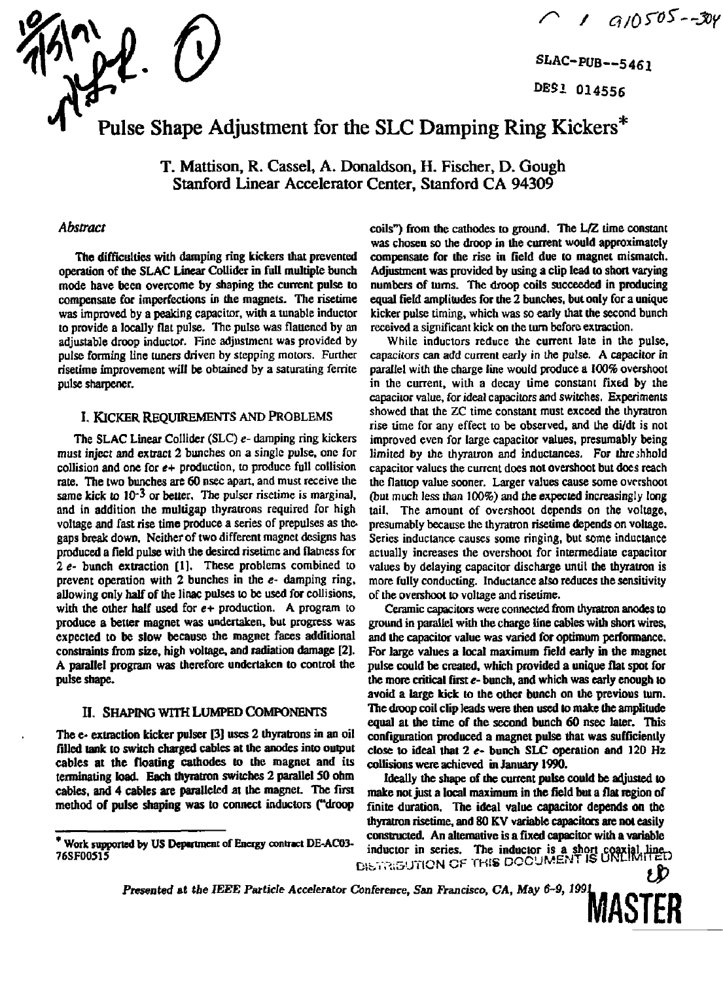

**SLAC-PUB--5461 M S i 014556** 

# Pulse Shape Adjustment for the SLC Damping Ring Kickers\*

T. Mattison, R. Cassel, A. Donaldson, H. Fischer, D. Gough Stanford Linear Accelerator Center, Stanford CA 94309

### *Abstract*

**The difficulties with damping ring kickers that prevented operation of the SLAC Linear Collider in full multiple bunch mode have been overcome by shaping the current pulse to compensate for imperfections in the magnets. The risetime was improved by a peaking capacitor, with a tunable inductor to provide a locally flat pulse. The pulse was flattened by an adjustable droop inductor. Fine adjustment was provided by pulse forming line tuners driven by stepping motors. Further risetime improvement will be obtained by a saturating ferrite pulse sharpener.** 

#### I. KICKER REQUIREMENTS AND PROBLEMS

**The SLAC Linear Collider (SLC) e- damping ring kickers must inject and extract 2 bunches on a single pulse, one for collision and one for** *e+* **production, to produce full collision rate. The two bunches are 60 nsec apart, and must receive the same kick to 10\*3 or better. The pulser risetime is marginal, and in addition the mulligap thyratrons required for high voltage and fast rise time produce a series of prepulses as the. gaps break down. Neither of two different magnet designs has produced a field pulse with the desired risetime and flatness for 2** *e-* **bunch extraction [1]. These problems combined to prevent operation with 2 bunches in the** *e-* **damping ring, allowing only half of the linac pulses to be used for collisions, with the other half used for** *e+* **production. A program to produce a better magnet was undertaken, but progress was expected to be slow because the magnet faces additional constraints from size, high voltage, and radiation damage [2]. A parallel program was therefore undertaken to control the pulse shape.** 

#### II. SHAPING WITH LUMPED COMPONENTS

**The e- extraction kicker pulser [3] uses 2 thyratrons in an oil filled lank to switch charged cables at the anodes into output cables at the floating cathodes to the magnet and its terminating load. Each thyratron switches 2 parallel 50 ohm cables, and 4 cables are paralleled at the magnet. The first method of pulse shaping was to connect inductors ("droop** 

**coils") from the cathodes to ground. The L/2 time constant was chosen so the droop in the current would approximately compensate for the rise in field due to magnet mismatch. Adjustment was provided by using a clip lead to short varying numbers of turns. The droop coils succeeded in producing equal field amplitudes for the 2 bunches, but only for a unique kicker pulse timing, which was so early that the second bunch received a significant kick on the turn before extraction.** 

**While inductors reduce the current late in the pulse, capacitors can add current early in the pulse. A capacitor in parallel with the charge line would produce a 100% overshoot in the current, with a decay time constant fixed by the capacitor value, for ideal capacitors and switches, Experiments showed that the ZC time constant must exceed the thyratron rise time for any effect to be observed, and the di/dt is not improved even for large capacitor values, presumably being limited by the thyratron and inductances. For threshold capacitor values the current does not overshoot but does reach the flattop value sooner. Larger values cause some overshoot (but much less than 100%) and the expected increasingly long tail. The amount of overshoot depends on the voltage, presumably because the thyratron risetime depends on voltage. Series inductance causes some ringing, but some inductance actually increases the overshoot for intermediate capacitor values by delaying capacitor discharge until the thyratron is more fully conducting. Inductance also reduces the sensitivity of the overshoot to voltage and risetime.** 

**Ceramic capacitors were connected from thyratron anodes to ground in parallel with the charge line cables with short wires, and the capacitor value was varied for optimum performance. For large values a local maximum field early in the magnet pulse could be created, which provided a unique flat spot for the more critical first** *e-* **bunch, and which was early enough to avoid a large kick to the other bunch on the previous turn. The droop coil clip leads were then used to make the amplitude equal at the time of the second bunch 60 nsec later. This configuration produced a magnet pulse that was sufficiently close to ideal thai 2** *e-* **bunch SLC operation and 120 Hz collisions were achieved in January 1990.** 

**Ideally the shape of the current pulse could be adjusted to make not just a local maximum in the field but a flat region of finite duration. The ideal value capacitor depends on the thyratron risetime, and 80 KV variable capacitors are not easily constructed. An alternative is a fixed capacitor with a variable**  inductor in series. The inductor is a short coaxial line-<br>76SF00515 The inductor in series. The inductor is a short coaxial line-<br>Cib-.Tii&UTION GF THIS DOCUMENT IS UNLIMITED

**'MASTER** 

*Presented* **at tie IEEE** *Particle* **Accelerator Conference, San** *Francisco, CA, May 6-9, 1991* 

*<sup>\*</sup>* **Work supported by US Department of Energy contract DE-AC03**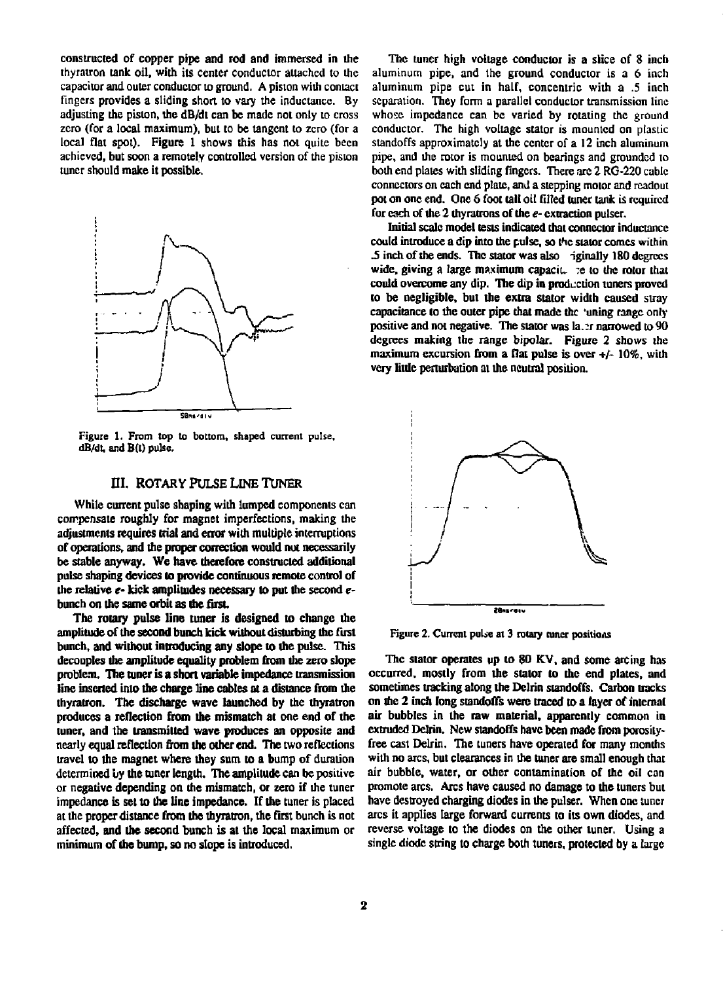**constructed of copper pipe and rod and immersed in the thyratron tank oil, with its center conductor attached to the capacitor and outer conductor to ground. A piston with contact fingers provides a sliding short to vary the inductance. By adjusting the piston, the dB/dt can be made not only to cross zero (for a local maximum), but to be tangent to zero (for a local flat spot). Figure 1 shows this has not quite been achieved, but soon a remotely controlled version of the piston tuner should make it possible.** 



**Figure 1. From top to bottom, shaped current pulse, dB/dt, and B(l) pulse.** 

#### **EI. ROTARY PULSE LINE TUNER**

**While current pulse shaping with lumped components can compensate roughly for magnet imperfections, making the adjustments requires trial and error with multiple interruptions of operations, and the proper correction would not necessarily be stable anyway. We have therefore constructed additional pulse shaping devices to provide continuous remote control of the relative** *t-* **kick amplitudes necessary to put the second** *e***bunch on the same orbit as the first** 

**The rotary pulse line tuner is designed to change the amplitude of the second bunch kick without disturbing the first bunch, and without introducing any slope to the pulse. This decouples the amplitude equality problem from the zero slope problem. The tuner is a short variable impedance transmission line inserted into the charge line cables at a distance from die thyratron. The discharge wave launched by the thyratron produces a reflection from the mismatch at one end of the tuner, and the transmitted wave produces an opposite and nearly equal reflection from the other end. The two reflections travel to the magnet where they sum to a bump of duration determined** *by* **the tuner length. The amplitude can be positive or negative depending on the mismatch, or zero if die tuner impedance is set to the line impedance. If the tuner is placed at the proper distance from the thyratron, the first bunch is not affected, and the second bunch is at the local maximum or minimum of the bump, so no slope is introduced.** 

**The tuner high voltage conductor is a slice of 8 inch aluminum pipe, and the ground conductor is a 6 inch aluminum pipe cut in half, concentric with a .5 inch separation. They form a parallel conductor transmission line whose impedance can be varied by rotating the ground conductor. The high voltage stator is mounted on plastic standoffs approximately at the center of a 12 inch aluminum pipe, and die rotor is mounted on bearings and grounded to both end plates with sliding fingers. There arc 2 RG-220 cable connectors on each end plate, and a stepping motor and readout pot on one end. One 5 foot tall oil filled tuner tank is required for each of the 2 diynurons of the** *e-* **extraction pulser.** 

**Initial scale model tests indicated dial connector inductance**  could introduce a dip into the pulse, so the stator comes within *5* **inch of the ends. The stator was also iginally 180 degrees**  wide, giving a large maximum capaciu :e to the rotor that **could overcome any dip. The dip in production tuners proved to be negligible, but the extra stator width caused stray capacitance to the outer pipe that made the 'uning range only positive and not negative. The suitor was la.:r narrowed to 90 degrees making the range bipolar. Figure 2 shows the maximum excursion from a flat pulse is over +/- 10%, with very little perturbation at the neutral position.** 



Figure 2. Current pulse at 3 rotary tuner positions

**The stator operates up to 80 KV, and some arcing has occurred, mostly from the staler to the end plates, and sometimes tracking along the Dclrin standoffs. Carbon tracks on the 2 inch long standoffs were traced to a layer of internal air bubbles in the raw material, apparently common in extruded Delrin. New standoffs have been made from porosityfree cast Delrin. The tuners have operated for many momhs with no arcs, but clearances in die tuner are small enough that air bubble, water, or other contamination of the oil can promote arcs. Arcs have caused no damage to the tuners but have destroyed charging diodes in the pulser. When one tuner arcs it applies large forward currents to its own diodes, and reverse voltage to the diodes on the other tuner, Using a single diode string to charge both tuners, protected by a large**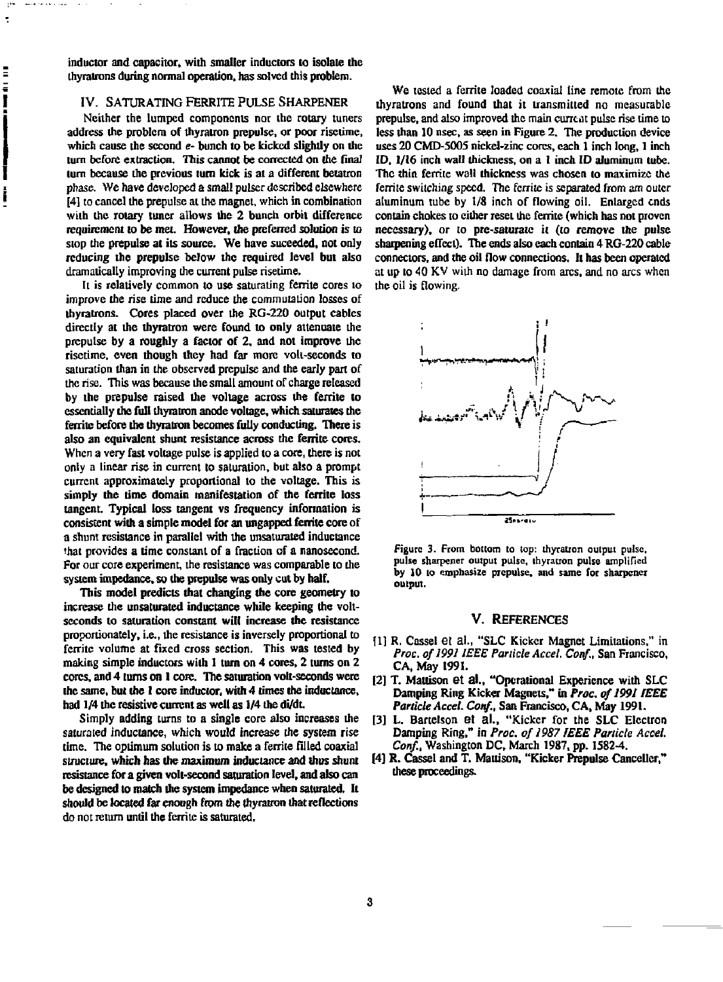**inductor and capacitor, with smaller inductors to isolate the ihyrairons during normal operation, has solved this problem.** 

÷ t

E

#### **IV. SATURATING FERRITE PULSE SHARPENER**

**Neither the lumped components nor the rotary tuners address the problem of thyratron prepulse, or poor risetime, which cause the second e- bunch to be kicked slightly on the**  turn before extraction. This cannot be corrected on the final **turn because the previous turn kick is at a different betatron phase. We have developed a small pulser described elsewhere [4] to cancel the prepulse at the magnet, which in combination with the rotary tuner allows the 2 bunch orbit difference requirement to be met. However, the preferred solution is to stop the prepulse at its source. We have suceeded, not only reducing the prepulse below the required level but also dramatically improving the current pulse risetime.** 

**It is relatively common to use saturating ferrite cores to improve the rise time and reduce the commutation losses of thyratrons. Cores placed over the RG-220 output cables directly at the thyratron were found to only attenuate the prepulse by a roughly a factor of 2, and not improve the risetime, even though they had far more volt-seconds to saturation than in the observed prepulse and the early part of the rise. This was because the small amount of charge released by the prepulse raised the voltage across the ferrile to essentially the full thyratron anode voltage, which saturates the ferrite before the thyratron becomes fully conducting. There is also an equivalent shunt resistance across the ferrite cores. When a very fast voltage pulse is applied to a core, there is not only a linear rise in current to saturation, but also a prompt current approximately proportional to the voltage. This is simply the time domain manifestation of the ferrite loss tangent. Typical loss tangent vs frequency information is consistent with a simple model for an ungapped ferrile core of a shunt resistance in parallel with the unsaturated inductance that provides a time constant of a fraction of a nanosecond. For our core experiment, the resistance was comparable to the system impedance, so the prepulse was only cut by half.** 

**This model predicts that changing the core geometry to increase the unsaturated inductance while keeping the voltseconds to saturation constant will increase the resistance proportionately, i.e., the resistance is inversely proportional to fcrritc volume at fixed cross section. This was tested by making simple inductors with I turn on 4 cores, 2 turns on 2 cores, and 4 turns on 1 core. The saturation volt-seconds were the same, but the 1 core inductor, with 4 times the inductance, had 1/4 the resistive current as well as 1/4 the di/dt** 

**Simply adding turns to a single core also increases the saturated inductance, which would increase the system rise time. The optimum solution is to make a ferrite filled coaxial structure, which has the maximum inductance and thus shunt resistance for a given volt-second saturation level, and also can be designed to match the system impedance when saturated. It should be located far enough from the thyratron that reflections do not return until the fcrritc is saturated.** 

**We tested a ferrite loaded coaxial line remote from the thyratrons and found that it transmitted no measurable prepulse, and also improved the main current pulse rise time to less than 10 nsec, as seen in Figure 2. The production device uses 20 CMD-5005 nickel-zinc cores, each 1 inch long, 1 inch ID, 1/16 inch wall thickness, on a 1 inch ID aluminum tube. The thin ferrite wall thickness was chosen to maximize the**  ferrite switching speed. The ferrite is separated from am outer **aluminum tube by 1/8 inch of flowing oil. Enlarged ends contain chokes to either reset the ferine (which has not proven necessary), or to pre-saturate it (to remove the pulse sharpening effect). The ends also each contain 4 RG-220 cable connectors, and the oil flow connections. It has been operated at up to 40 KV with no damage from arcs, and no arcs when the oil is flowing.** 



**Figure 3. From bottom to lop: thyratron output pulse, pulse sharpener output pulse, ihyration pulse amplified by 10 to emphasize prepulse, and same for sharpener output.** 

#### **V. REFERENCES**

- *\l]* **R, Cassel et al., "SLC Kicker Magnet Limitations," in**  *Proc. of 1991 IEEE Particle Accel. Coitf.,* **San Francisco, CA, May 1991.**
- **[2] T. Mattison et al., "Operational Experience with SLC Damping Ring Kicker Magnets," in** *Proc. of1991 IEEE Particle Accel. Cotif.,* **San Francisco, CA, May 1991.**
- **[3] L. Bartelson el al., "Kicker for the SLC Electron Damping Ring," in** *Proc. of 1987 IEEE Panicle Accel. Conf.,* **Washington DC, March 1987, pp. 1582-4.**
- **[4] R. Cassel and T. Mattison, "Kicker Prepulse Canceller," these proceedings.**